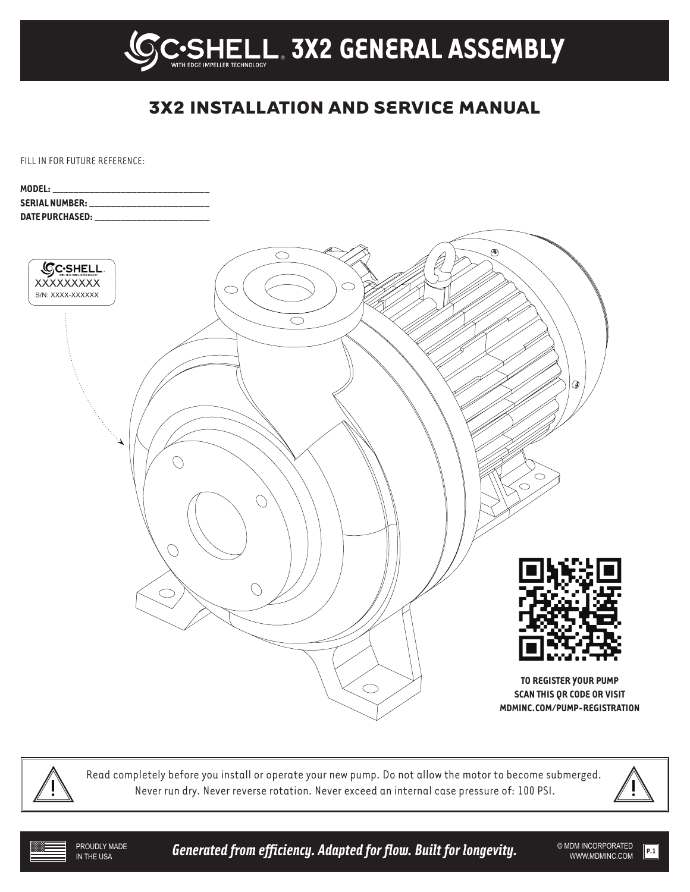

# **3X2 INSTALLATION AND SERVICE MANUAL**

FILL IN FOR FUTURE REFERENCE:

| MODEL: Andrea Model and the contract of the contract of the contract of the contract of the contract of the contract of the contract of the contract of the contract of the contract of the contract of the contract of the co |                                                                                                                                                                                                                                    |
|--------------------------------------------------------------------------------------------------------------------------------------------------------------------------------------------------------------------------------|------------------------------------------------------------------------------------------------------------------------------------------------------------------------------------------------------------------------------------|
|                                                                                                                                                                                                                                | <b>SERIAL NUMBER:</b> The contract of the contract of the contract of the contract of the contract of the contract of the contract of the contract of the contract of the contract of the contract of the contract of the contract |
|                                                                                                                                                                                                                                |                                                                                                                                                                                                                                    |



Read completely before you install or operate your new pump. Do not allow the motor to become submerged. Never run dry. Never reverse rotation. Never exceed an internal case pressure of: 100 PSI.



PROUDLY MADE<br>IN THE USA

**Generated from efficiency. Adapted for flow. Built for longevity.**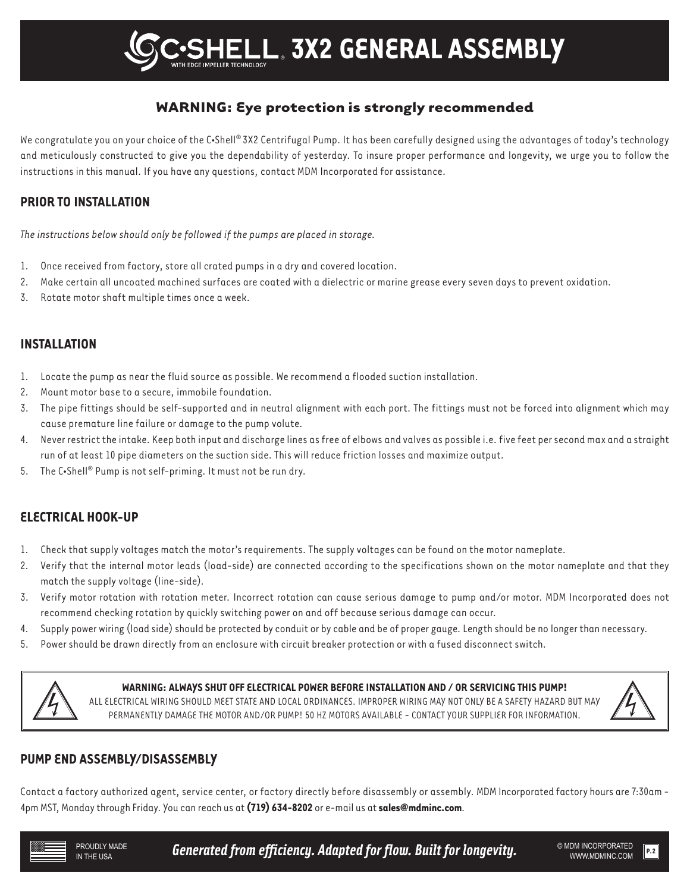## **WARNING: Eye protection is strongly recommended**

We congratulate you on your choice of the C•Shell® 3X2 Centrifugal Pump. It has been carefully designed using the advantages of today's technology and meticulously constructed to give you the dependability of yesterday. To insure proper performance and longevity, we urge you to follow the instructions in this manual. If you have any questions, contact MDM Incorporated for assistance.

### **PRIOR TO INSTALLATION**

*The instructions below should only be followed if the pumps are placed in storage.*

- 1. Once received from factory, store all crated pumps in a dry and covered location.
- 2. Make certain all uncoated machined surfaces are coated with a dielectric or marine grease every seven days to prevent oxidation.
- 3. Rotate motor shaft multiple times once a week.

### **INSTALLATION**

- 1. Locate the pump as near the fluid source as possible. We recommend a flooded suction installation.
- 2. Mount motor base to a secure, immobile foundation.
- 3. The pipe fittings should be self-supported and in neutral alignment with each port. The fittings must not be forced into alignment which may cause premature line failure or damage to the pump volute.
- 4. Never restrict the intake. Keep both input and discharge lines as free of elbows and valves as possible i.e. five feet per second max and a straight run of at least 10 pipe diameters on the suction side. This will reduce friction losses and maximize output.
- 5. The C•Shell® Pump is not self-priming. It must not be run dry.

### **ELECTRICAL HOOK-UP**

- 1. Check that supply voltages match the motor's requirements. The supply voltages can be found on the motor nameplate.
- 2. Verify that the internal motor leads (load-side) are connected according to the specifications shown on the motor nameplate and that they match the supply voltage (line-side).
- 3. Verify motor rotation with rotation meter. Incorrect rotation can cause serious damage to pump and/or motor. MDM Incorporated does not recommend checking rotation by quickly switching power on and off because serious damage can occur.
- 4. Supply power wiring (load side) should be protected by conduit or by cable and be of proper gauge. Length should be no longer than necessary.
- 5. Power should be drawn directly from an enclosure with circuit breaker protection or with a fused disconnect switch.



#### **WARNING: ALWAYS SHUT OFF ELECTRICAL POWER BEFORE INSTALLATION AND / OR SERVICING THIS PUMP!**

ALL ELECTRICAL WIRING SHOULD MEET STATE AND LOCAL ORDINANCES. IMPROPER WIRING MAY NOT ONLY BE A SAFETY HAZARD BUT MAY PERMANENTLY DAMAGE THE MOTOR AND/OR PUMP! 50 HZ MOTORS AVAILABLE - CONTACT YOUR SUPPLIER FOR INFORMATION.



### **PUMP END ASSEMBLY/DISASSEMBLY**

Contact a factory authorized agent, service center, or factory directly before disassembly or assembly. MDM Incorporated factory hours are 7:30am - 4pm MST, Monday through Friday. You can reach us at **(719) 634-8202** or e-mail us at **sales@mdminc.com**.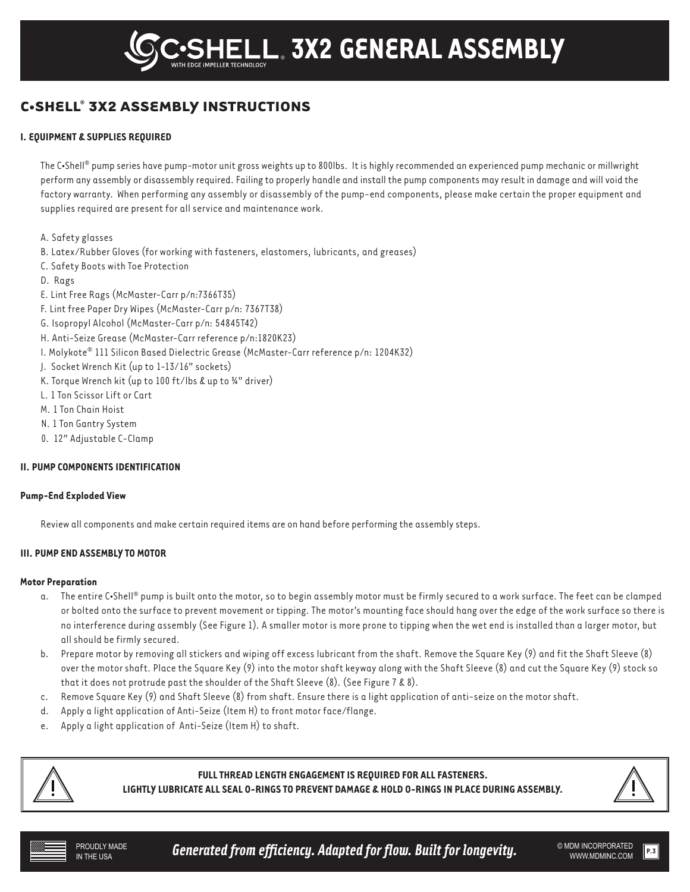## **C•SHELL® 3X2 ASSEMBLY INSTRUCTIONS**

#### **I. EQUIPMENT & SUPPLIES REQUIRED**

The C•Shell® pump series have pump-motor unit gross weights up to 800lbs. It is highly recommended an experienced pump mechanic or millwright perform any assembly or disassembly required. Failing to properly handle and install the pump components may result in damage and will void the factory warranty. When performing any assembly or disassembly of the pump-end components, please make certain the proper equipment and supplies required are present for all service and maintenance work.

A. Safety glasses

- B. Latex/Rubber Gloves (for working with fasteners, elastomers, lubricants, and greases)
- C. Safety Boots with Toe Protection
- D. Rags
- E. Lint Free Rags (McMaster-Carr p/n:7366T35)
- F. Lint free Paper Dry Wipes (McMaster-Carr p/n: 7367T38)
- G. Isopropyl Alcohol (McMaster-Carr p/n: 54845T42)
- H. Anti-Seize Grease (McMaster-Carr reference p/n:1820K23)
- I. Molykote® 111 Silicon Based Dielectric Grease (McMaster-Carr reference p/n: 1204K32)
- J. Socket Wrench Kit (up to 1-13/16" sockets)
- K. Torque Wrench kit (up to 100 ft/lbs & up to ¾" driver)
- L. 1 Ton Scissor Lift or Cart
- M. 1 Ton Chain Hoist
- N. 1 Ton Gantry System
- 0. 12" Adjustable C-Clamp

#### **II. PUMP COMPONENTS IDENTIFICATION**

#### **Pump-End Exploded View**

Review all components and make certain required items are on hand before performing the assembly steps.

#### **III. PUMP END ASSEMBLY TO MOTOR**

#### **Motor Preparation**

- a. The entire C•Shell® pump is built onto the motor, so to begin assembly motor must be firmly secured to a work surface. The feet can be clamped or bolted onto the surface to prevent movement or tipping. The motor's mounting face should hang over the edge of the work surface so there is no interference during assembly (See Figure 1). A smaller motor is more prone to tipping when the wet end is installed than a larger motor, but all should be firmly secured.
- b. Prepare motor by removing all stickers and wiping off excess lubricant from the shaft. Remove the Square Key (9) and fit the Shaft Sleeve (8) over the motor shaft. Place the Square Key (9) into the motor shaft keyway along with the Shaft Sleeve (8) and cut the Square Key (9) stock so that it does not protrude past the shoulder of the Shaft Sleeve (8). (See Figure 7 & 8).
- c. Remove Square Key (9) and Shaft Sleeve (8) from shaft. Ensure there is a light application of anti-seize on the motor shaft.
- d. Apply a light application of Anti-Seize (Item H) to front motor face/flange.
- e. Apply a light application of Anti-Seize (Item H) to shaft.



**FULL THREAD LENGTH ENGAGEMENT IS REQUIRED FOR ALL FASTENERS.**

**LIGHTLY LUBRICATE ALL SEAL O-RINGS TO PREVENT DAMAGE & HOLD O-RINGS IN PLACE DURING ASSEMBLY.**



PROUDLY MADE **Generated from efficiency. Adapted for flow. Built for longevity.**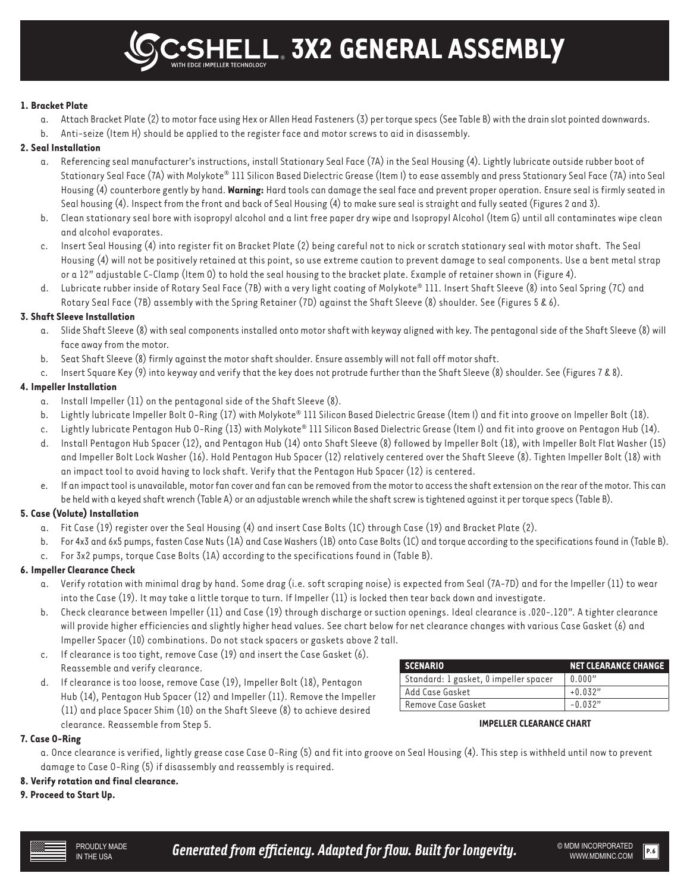® **3X2 GENERAL ASSEMBLY**

#### **1. Bracket Plate**

- a. Attach Bracket Plate (2) to motor face using Hex or Allen Head Fasteners (3) per torque specs (See Table B) with the drain slot pointed downwards.
- b. Anti-seize (Item H) should be applied to the register face and motor screws to aid in disassembly.

#### **2. Seal Installation**

- a. Referencing seal manufacturer's instructions, install Stationary Seal Face (7A) in the Seal Housing (4). Lightly lubricate outside rubber boot of Stationary Seal Face (7A) with Molykote® 111 Silicon Based Dielectric Grease (Item I) to ease assembly and press Stationary Seal Face (7A) into Seal Housing (4) counterbore gently by hand. **Warning:** Hard tools can damage the seal face and prevent proper operation. Ensure seal is firmly seated in Seal housing (4). Inspect from the front and back of Seal Housing (4) to make sure seal is straight and fully seated (Figures 2 and 3).
- b. Clean stationary seal bore with isopropyl alcohol and a lint free paper dry wipe and Isopropyl Alcohol (Item G) until all contaminates wipe clean and alcohol evaporates.
- c. Insert Seal Housing (4) into register fit on Bracket Plate (2) being careful not to nick or scratch stationary seal with motor shaft. The Seal Housing (4) will not be positively retained at this point, so use extreme caution to prevent damage to seal components. Use a bent metal strap or a 12" adjustable C-Clamp (Item O) to hold the seal housing to the bracket plate. Example of retainer shown in (Figure 4).
- d. Lubricate rubber inside of Rotary Seal Face (7B) with a very light coating of Molykote® 111. Insert Shaft Sleeve (8) into Seal Spring (7C) and Rotary Seal Face (7B) assembly with the Spring Retainer (7D) against the Shaft Sleeve (8) shoulder. See (Figures 5 & 6).

#### **3. Shaft Sleeve Installation**

- a. Slide Shaft Sleeve (8) with seal components installed onto motor shaft with keyway aligned with key. The pentagonal side of the Shaft Sleeve (8) will face away from the motor.
- b. Seat Shaft Sleeve (8) firmly against the motor shaft shoulder. Ensure assembly will not fall off motor shaft.
- c. Insert Square Key (9) into keyway and verify that the key does not protrude further than the Shaft Sleeve (8) shoulder. See (Figures 7 & 8).

#### **4. Impeller Installation**

- a. Install Impeller (11) on the pentagonal side of the Shaft Sleeve (8).
- b. Lightly lubricate Impeller Bolt O-Ring (17) with Molykote® 111 Silicon Based Dielectric Grease (Item I) and fit into groove on Impeller Bolt (18).
- c. Lightly lubricate Pentagon Hub O-Ring (13) with Molykote® 111 Silicon Based Dielectric Grease (Item I) and fit into groove on Pentagon Hub (14).
- d. Install Pentagon Hub Spacer (12), and Pentagon Hub (14) onto Shaft Sleeve (8) followed by Impeller Bolt (18), with Impeller Bolt Flat Washer (15) and Impeller Bolt Lock Washer (16). Hold Pentagon Hub Spacer (12) relatively centered over the Shaft Sleeve (8). Tighten Impeller Bolt (18) with an impact tool to avoid having to lock shaft. Verify that the Pentagon Hub Spacer (12) is centered.
- e. If an impact tool is unavailable, motor fan cover and fan can be removed from the motor to access the shaft extension on the rear of the motor. This can be held with a keyed shaft wrench (Table A) or an adjustable wrench while the shaft screw is tightened against it per torque specs (Table B).

#### **5. Case (Volute) Installation**

- a. Fit Case (19) register over the Seal Housing (4) and insert Case Bolts (1C) through Case (19) and Bracket Plate (2).
- b. For 4x3 and 6x5 pumps, fasten Case Nuts (1A) and Case Washers (1B) onto Case Bolts (1C) and torque according to the specifications found in (Table B).
- c. For 3x2 pumps, torque Case Bolts (1A) according to the specifications found in (Table B).

#### **6. Impeller Clearance Check**

- a. Verify rotation with minimal drag by hand. Some drag (i.e. soft scraping noise) is expected from Seal (7A-7D) and for the Impeller (11) to wear into the Case (19). It may take a little torque to turn. If Impeller (11) is locked then tear back down and investigate.
- b. Check clearance between Impeller (11) and Case (19) through discharge or suction openings. Ideal clearance is .020-.120". A tighter clearance will provide higher efficiencies and slightly higher head values. See chart below for net clearance changes with various Case Gasket (6) and Impeller Spacer (10) combinations. Do not stack spacers or gaskets above 2 tall.
- c. If clearance is too tight, remove Case (19) and insert the Case Gasket (6). Reassemble and verify clearance.
- d. If clearance is too loose, remove Case (19), Impeller Bolt (18), Pentagon Hub (14), Pentagon Hub Spacer (12) and Impeller (11). Remove the Impeller (11) and place Spacer Shim (10) on the Shaft Sleeve (8) to achieve desired clearance. Reassemble from Step 5.

| <b>SCENARIO</b>                       | NET CLEARANCE CHANGE |
|---------------------------------------|----------------------|
| Standard: 1 gasket, 0 impeller spacer | 0.000"               |
| Add Case Gasket                       | $+0.032"$            |
| Remove Case Gasket                    | $-0.032"$            |

**IMPELLER CLEARANCE CHART**

#### **7. Case O-Ring**

a. Once clearance is verified, lightly grease case Case O-Ring (5) and fit into groove on Seal Housing (4). This step is withheld until now to prevent damage to Case O-Ring (5) if disassembly and reassembly is required.

#### **8. Verify rotation and final clearance.**

#### **9. Proceed to Start Up.**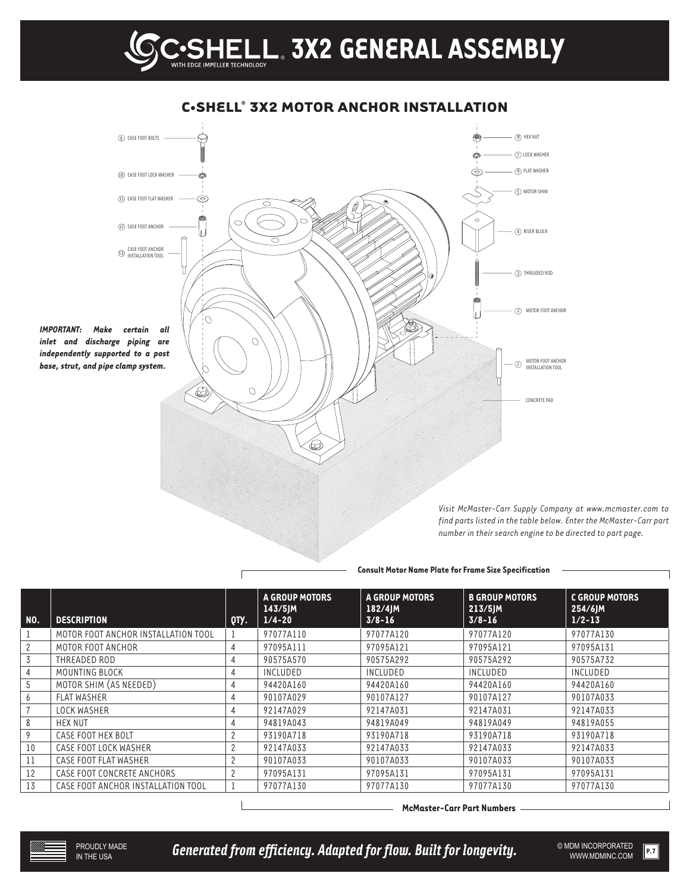

### **C•SHELL® 3X2 MOTOR ANCHOR INSTALLATION**

**Consult Motor Name Plate for Frame Size Specification**

| NO. | <b>DESCRIPTION</b>                  | QTY.           | <b>A GROUP MOTORS</b><br>$143/5$ JM<br>$1/4 - 20$ | <b>A GROUP MOTORS</b><br>$182/4$ JM<br>$3/8 - 16$ | <b>B GROUP MOTORS</b><br>$213/5$ JM<br>$3/8 - 16$ | <b>C GROUP MOTORS</b><br>254/6JM<br>$1/2 - 13$ |
|-----|-------------------------------------|----------------|---------------------------------------------------|---------------------------------------------------|---------------------------------------------------|------------------------------------------------|
|     | MOTOR FOOT ANCHOR INSTALLATION TOOL |                | 97077A110                                         | 97077A120                                         | 97077A120                                         | 97077A130                                      |
|     | MOTOR FOOT ANCHOR                   | 4              | 97095A111                                         | 97095A121                                         | 97095A121                                         | 97095A131                                      |
| 3   | THREADED ROD                        | 4              | 90575A570                                         | 90575A292                                         | 90575A292                                         | 90575A732                                      |
|     | MOUNTING BLOCK                      | 4              | INCLUDED                                          | INCLUDED                                          | INCLUDED                                          | INCLUDED                                       |
| 5   | MOTOR SHIM (AS NEEDED)              | 4              | 94420A160                                         | 94420A160                                         | 94420A160                                         | 94420A160                                      |
| b   | <b>FLAT WASHER</b>                  | 4              | 90107A029                                         | 90107A127                                         | 90107A127                                         | 90107A033                                      |
|     | <b>LOCK WASHER</b>                  | 4              | 92147A029                                         | 92147A031                                         | 92147A031                                         | 92147A033                                      |
|     | HEX NUT                             | 4              | 94819A043                                         | 94819A049                                         | 94819A049                                         | 94819A055                                      |
|     | CASE FOOT HEX BOLT                  | $\overline{2}$ | 93190A718                                         | 93190A718                                         | 93190A718                                         | 93190A718                                      |
| 10  | CASE FOOT LOCK WASHER               | $\overline{c}$ | 92147A033                                         | 92147A033                                         | 92147A033                                         | 92147A033                                      |
| 11  | CASE FOOT FLAT WASHER               | 2              | 90107A033                                         | 90107A033                                         | 90107A033                                         | 90107A033                                      |
| 12  | CASE FOOT CONCRETE ANCHORS          | $\overline{2}$ | 97095A131                                         | 97095A131                                         | 97095A131                                         | 97095A131                                      |
| 13  | CASE FOOT ANCHOR INSTALLATION TOOL  |                | 97077A130                                         | 97077A130                                         | 97077A130                                         | 97077A130                                      |

**McMaster-Carr Part Numbers**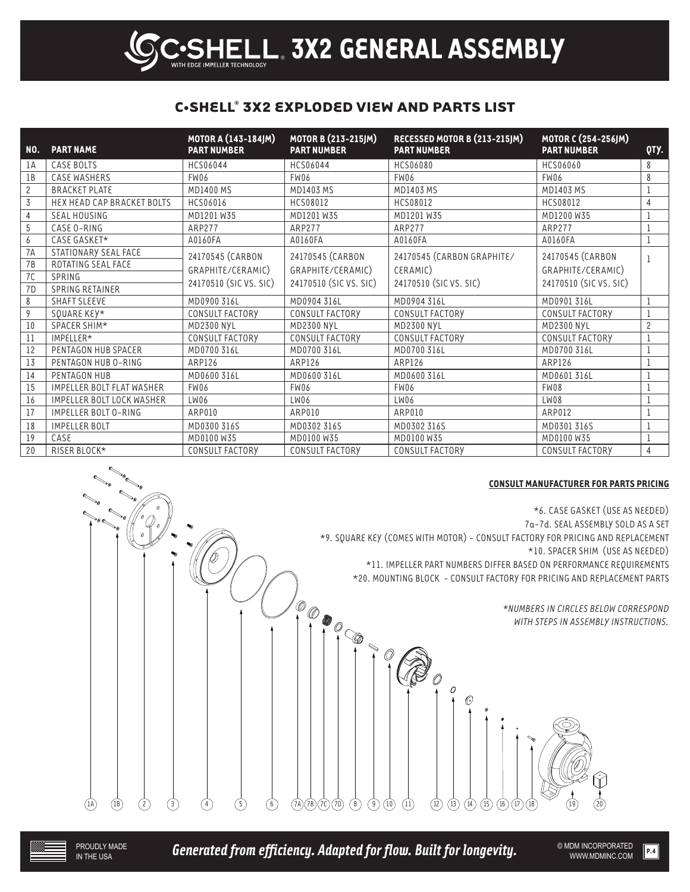## **C•SHELL® 3X2 EXPLODED VIEW AND PARTS LIST**

Ξ IMPELLER TECHNOLOGY

| <b>NO.</b>     | <b>PART NAME</b>                 | MOTOR A (143-184JM)<br><b>PART NUMBER</b> | MOTOR B (213-215JM)<br><b>PART NUMBER</b> | RECESSED MOTOR B (213-215JM)<br><b>PART NUMBER</b> | MOTOR C (254-256JM)<br><b>PART NUMBER</b> | QTY.           |
|----------------|----------------------------------|-------------------------------------------|-------------------------------------------|----------------------------------------------------|-------------------------------------------|----------------|
| lΑ             | CASE BOLTS                       | HCS06044                                  | HCS06044                                  | HCS06080                                           | HCS06060                                  | 8              |
| 1B             | CASE WASHERS                     | FW06                                      | FW06                                      | FW06                                               | FW06                                      | 8              |
| $\mathbf{2}$   | <b>BRACKET PLATE</b>             | <b>MD1400 MS</b>                          | MD1403 MS                                 | MD1403 MS                                          | MD1403 MS                                 | $\mathbf{1}$   |
| 3              | HEX HEAD CAP BRACKET BOLTS       | HCS06016                                  | HCS08012                                  | HCS08012                                           | HCS08012                                  | $\overline{4}$ |
| $\overline{4}$ | <b>SEAL HOUSING</b>              | MD1201W35                                 | MD1201W35                                 | MD1201W35                                          | MD1200 W35                                | 1              |
| 5              | CASE O-RING                      | ARP277                                    | ARP277                                    | <b>ARP277</b>                                      | ARP277                                    | 1              |
| 6              | CASE GASKET*                     | A0160FA                                   | A0160FA                                   | A0160FA                                            | A0160FA                                   | $\mathbf{1}$   |
| 7A             | STATIONARY SEAL FACE             | 24170545 (CARBON                          | 24170545 (CARBON                          | 24170545 (CARBON GRAPHITE/                         | 24170545 (CARBON                          | $\mathbf{1}$   |
| 7B             | ROTATING SEAL FACE               | GRAPHITE/CERAMIC)                         | GRAPHITE/CERAMIC)                         | CERAMIC)                                           | GRAPHITE/CERAMIC)                         |                |
| 7C             | SPRING                           |                                           |                                           |                                                    |                                           |                |
| 7 <sub>D</sub> | <b>SPRING RETAINER</b>           | 24170510 (SIC VS. SIC)                    | 24170510 (SIC VS. SIC)                    | 24170510 (SIC VS. SIC)                             | 24170510 (SIC VS. SIC)                    |                |
| 8              | <b>SHAFT SLEEVE</b>              | MD0900 316L                               | MD0904 316L                               | MD0904 316L                                        | MD0901316L                                | 1              |
| 9              | SQUARE KEY*                      | CONSULT FACTORY                           | CONSULT FACTORY                           | <b>CONSULT FACTORY</b>                             | CONSULT FACTORY                           | $\mathbf{1}$   |
| 10             | SPACER SHIM*                     | <b>MD2300 NYL</b>                         | <b>MD2300 NYL</b>                         | MD2300 NYL                                         | <b>MD2300 NYL</b>                         | $\overline{c}$ |
| 11             | IMPELLER*                        | CONSULT FACTORY                           | CONSULT FACTORY                           | CONSULT FACTORY                                    | CONSULT FACTORY                           | $\mathbf{1}$   |
| 12             | PENTAGON HUB SPACER              | MD0700 316L                               | MD0700 316L                               | MD0700 316L                                        | MD0700 316L                               | $\mathbf 1$    |
| 13             | PENTAGON HUB O-RING              | ARP126                                    | ARP126                                    | ARP126                                             | ARP126                                    | 1              |
| 14             | PENTAGON HUB                     | MD0600 316L                               | MD0600 316L                               | MD0600 316L                                        | MD0601 316L                               | 1              |
| 15             | <b>IMPELLER BOLT FLAT WASHER</b> | FW06                                      | FW06                                      | FW06                                               | FW08                                      | $\mathbf{1}$   |
| 16             | <b>IMPELLER BOLT LOCK WASHER</b> | LW06                                      | LW06                                      | LW06                                               | LW08                                      | 1              |
| 17             | IMPELLER BOLT O-RING             | ARP010                                    | ARP010                                    | ARP010                                             | ARP012                                    | $\mathbf{1}$   |
| 18             | <b>IMPELLER BOLT</b>             | MD0300 316S                               | MD0302 316S                               | MD0302 316S                                        | MD0301316S                                | 1              |
| 19             | CASE                             | MD0100W35                                 | MD0100W35                                 | MD0100W35                                          | MD0100W35                                 | $\mathbf 1$    |
| 20             | RISER BLOCK*                     | <b>CONSULT FACTORY</b>                    | <b>CONSULT FACTORY</b>                    | CONSULT FACTORY                                    | CONSULT FACTORY                           | 4              |

#### **CONSULT MANUFACTURER FOR PARTS PRICING**

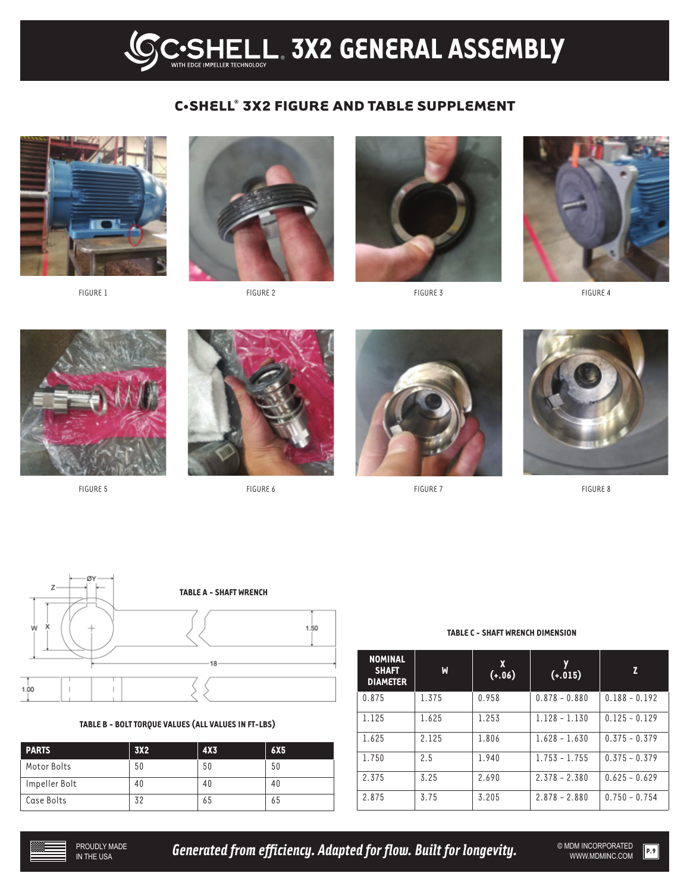## **C•SHELL® 3X2 FIGURE AND TABLE SUPPLEMENT**



FIGURE 1



FIGURE 2



FIGURE 3



FIGURE 4



FIGURE 5



FIGURE 6



FIGURE 7



FIGURE 8



#### **TABLE B - BOLT TORQUE VALUES (ALL VALUES IN FT-LBS)**

| <b>PARTS</b>  | 3X <sub>2</sub> | 4X <sub>3</sub> | 6X <sub>5</sub> |
|---------------|-----------------|-----------------|-----------------|
| Motor Bolts   | 50              | 50              | 50              |
| Impeller Bolt | 40              | 40              | 40              |
| Case Bolts    | 32              | 65              | 65              |

**NOMINAL SHAFT DIAMETER W X (+.06) Y (+.015) Z**  $0.875$  | 1.375 | 0.958 | 0.878 - 0.880 | 0.188 - 0.192 1.125 1.625 1.253 1.128 - 1.130 0.125 - 0.129 1.625 2.125 1.806 1.628 - 1.630 0.375 - 0.379 1.750 2.5 1.940 1.753 - 1.755 0.375 - 0.379 2.375 3.25 2.690 2.378 - 2.380 0.625 - 0.629 2.875 3.75 3.205 2.878 - 2.880 0.750 - 0.754

#### **TABLE C - SHAFT WRENCH DIMENSION**



**Generated from efficiency. Adapted for flow. Built for longevity.**